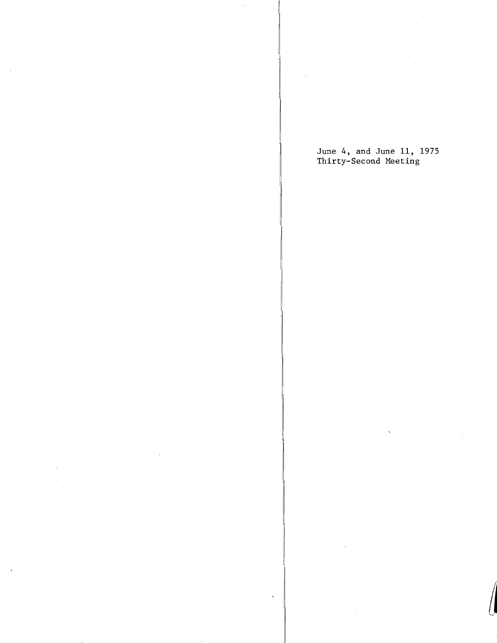June 4, and June 11, 1975 Thirty-Second Meeting

ä,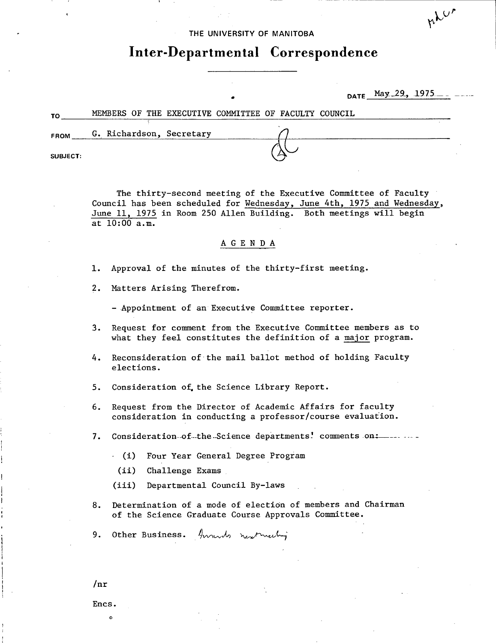### **THE UNIVERSITY OF MANITOBA**

# **Inter-Departmental Correspondence**

DATE May 29, 1975.

nhur

| TO              | MEMBERS OF THE EXECUTIVE COMMITTEE OF FACULTY COUNCIL |  |  |  |  |  |
|-----------------|-------------------------------------------------------|--|--|--|--|--|
| <b>FROM</b>     | G. Richardson, Secretary                              |  |  |  |  |  |
| <b>SUBJECT:</b> |                                                       |  |  |  |  |  |

The thirty-second meeting of the Executive Committee of Faculty Council has been scheduled for Wednesday, June 4th, 1975 and Wednesday, June 11, 1975 in Room 250 Allen Building. Both meetings will begin at 10:00 a.m.

# A G E N D A

- 1. Approval of the minutes of the thirty-first meeting.
- 2. Matters Arising Therefrom.

- Appointment of an Executive Committee reporter.

- 3. Request for comment from the Executive Committee members as to what they feel constitutes the definition of a major program.
- 4. Reconsideration of the mail ballot method of holding Faculty elections.
- 5. Consideration of the Science Library Report.
- 6. Request from the Director of Academic Affairs for faculty consideration in conducting a professor/course evaluation.
- 7. Consideration.of.the.Science departments! comments on:
	- (i) Four Year General Degree Program
	- $(ii)$ Challenge Exams
	- $(iii)$ Departmental Council By-laws
- 8. Determination of a mode of election of members and Chairman of the Science Graduate Course Approvals Committee.

9. Other Business. Annuls number

 $/nr$ 

Encs.

0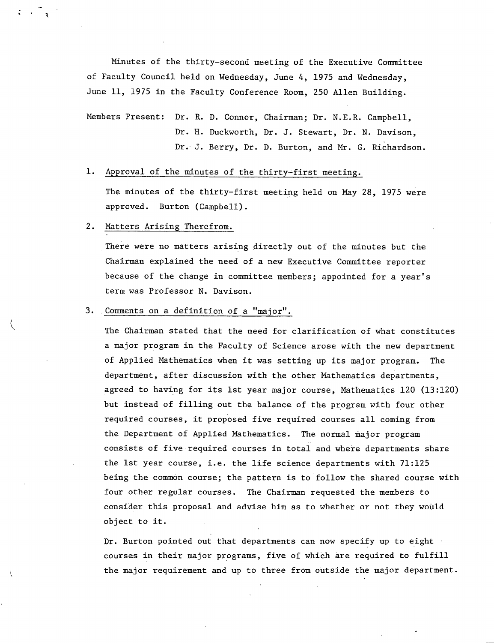Minutes of the thirty-second meeting of the Executive Committee of Faculty Council held on Wednesday, June 4, 1975 and Wednesday, June 11, 1975 in the Faculty Conference Room, 250 Allen Building.

Members Present: Dr. R. D. Connor, Chairman; Dr. N.E.R. Campbell, Dr. H. Duckworth, Dr. J. Stewart, Dr. N. Davison, Dr. J. Berry, Dr. D. Burton, and Mr. G. Richardson.

1. Approval of the minutes of the thirty-first meeting.

The minutes of the thirty-first meeting held on May 28, 1975 were approved. Burton (Campbell).

# 2. Matters Arising Therefrom.

There were no matters arising directly out of the minutes but the Chairman explained the need of a new Executive Committee reporter because of the change in committee members; appointed for a year's term was Professor N. Davison.

### Comments on a definition of a "major".

The Chairman stated that the need for clarification of what constitutes a major program in the Faculty of Science arose with the new department of Applied Mathematics when it was setting up its major program. The department, after discussion with the other Mathematics departments, agreed to having for its 1st year major course, Mathematics 120 (13:120) but instead of filling out the balance of the program with four other required courses, it proposed five required courses all coming from the Department of Applied Mathematics. The normal major program consists of five required courses in total and where departments share the 1st year course, i.e. the life science departments with 71:125 being the common course; the pattern is to follow the shared course with four other regular courses. The Chairman requested the members to consider this proposal and advise him as to whether or not they would object to it.

Dr. Burton pointed out that departments can now specify up to eight courses in their major programs, five of which are required to fulfill the major requirement and up to three from outside the major department.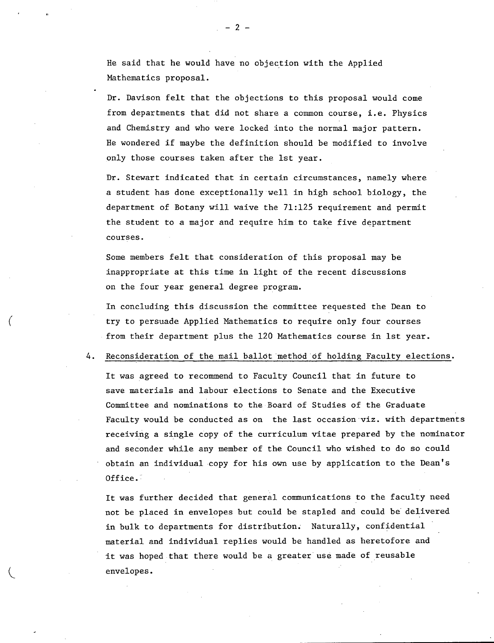He said that he would have no objection with the Applied Mathematics proposal.

Dr. Davison felt that the objections to this proposal would come from departments that did not share a common course, i.e. Physics and Chemistry and who were locked into the normal major pattern. He wondered if maybe the definition should be modified to involve only those courses taken after the 1st year.

Dr. Stewart indicated that in certain circumstances, namely where a student has done exceptionally well in high school biology, the department of Botany will waive the 71:125 requirement and permit the student to a major and require him to take five department courses.

Some members felt that consideration of this proposal may be inappropriate at this time in light of the recent discussions on the four year general degree program.

In concluding this discussion the committee requested the Dean to try to persuade Applied Mathematics to require only four courses from their department plus the 120 Mathematics course in 1st year.

### 4. Reconsideration of the mail ballot method of holding Faculty elections.

It was agreed to recommend to Faculty Council that in future to save materials and labour elections to Senate and the Executive Committee and nominations to the Board of Studies of the Graduate Faculty would be conducted as on the last occasion viz, with departments receiving a single copy of the curriculum vitae prepared by the nominator and seconder while any member of the Council who wished to do so could obtain an individual copy for his own use by application to the Dean's Office.

It was further decided that general communications to the faculty need not be placed in envelopes but could be stapled and could be delivered in bulk to departments for distribution. Naturally, confidential material and individual replies would be handled as heretofore and it was hoped that there would be a greater use made of reusable envelopes.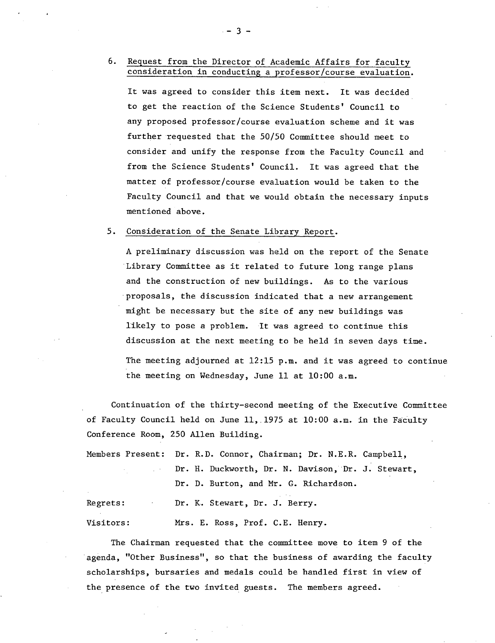# 6. Request from the Director of Academic Affairs for faculty consideration in conducting a professor/course evaluation.

It was agreed to consider this item next. It was decided to get the reaction of the Science Students' Council to any proposed professor/course evaluation scheme and it was further requested that the 50/50 Committee should meet to consider and unify the response from the Faculty Council and from the Science Students' Council. It was agreed that the matter of professor/course evaluation would be taken to the Faculty Council and that we would obtain the necessary inputs mentioned above.

### 5. Consideration of the Senate Library Report.

A preliminary discussion was held on the report of the Senate Library Committee as it related to future long range plans and the construction of new buildings. As to the various proposals, the discussion indicated that a new arrangement might be necessary but the site of any new buildings was likely to pose a problem. It was agreed to continue this discussion at the next meeting to be held in seven days time. The meeting adjourned at 12:15 p.m. and it was agreed to continue the meeting on Wednesday, June 11 at 10:00 a.m.

Continuation of the thirty-second meeting of the Executive Committee of Faculty Council held on June 11,1975 at 10:00 a.m. in the Faculty Conference Room, 250 Allen Building.

Members Present: Dr. R.D. Connor, Chairman; Dr. N.E.R. Campbell, Dr. H. Duckworth, Dr. N. Davison, 'Dr. J. Stewart,  $\mathbb{R}^{n \times n}$ Dr. D. Burton, and Mr. G. Richardson. Regrets: Dr. K. Stewart, Dr. J. Berry.

Visitors: Mrs. E. Ross, Prof. C.E. Henry.

The Chairman requested that the committee move to item 9 of the agenda, "Other Business", so that the business of awarding the faculty scholarships, bursaries and medals could be handled first in view of the presence of the two invited guests. The members agreed.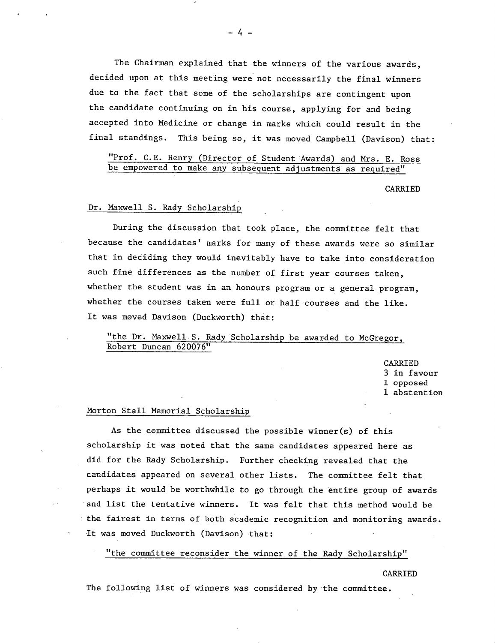The Chairman explained that the winners of the various awards, decided upon at this meeting were not necessarily the final winners due to the fact that some of the scholarships are contingent upon the candidate continuing on in his course, applying for and being accepted into Medicine or change in marks which could result in the final standings. This being so, it was moved Campbell (Davison) that:

"Prof. C.E. Henry (Director of Student Awards) and Mrs. E. Ross be empowered to make any subsequent adjustments as required"

CARRIED

### Dr. Maxwell S. Rady Scholarshi

During the discussion that took place, the committee felt that because the candidates' marks for many of these awards were so similar that in deciding they would inevitably have to take into consideration such fine differences as the number of first year courses taken, whether the student was in an honours program or a general program, whether the courses taken were full or half courses and the like. It was moved Davison (Duckworth) that:

"the Dr. Maxwell S. Rady Scholarship be awarded to McGregor, Robert Duncan 620076"

> CARRIED 3 in favour 1 opposed 1 abstention

## Morton Stall Memorial Scholarship

As the committee discussed the possible winner(s) of this scholarship it was noted that the same candidates appeared here as did for the Rady Scholarship. Further checking revealed that the candidates appeared on several other lists. The committee felt that perhaps it would be worthwhile to go through the entire group of awards and list the tentative winners. It was felt that this method would be the fairest in terms of both academic recognition and monitoring awards. It was moved Duckworth (Davison) that:

"the committee reconsider the winner of the Rady Scholarship"

#### CARRIED

The following list of winners was considered by 'the committee.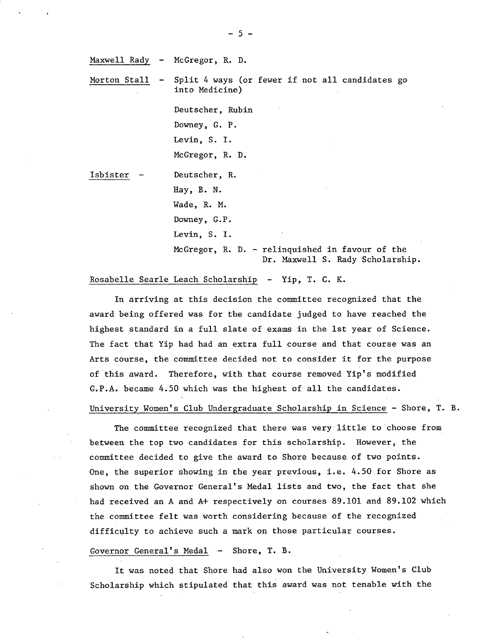Maxwell Rady - McGregor, R. D.

Morton Stall - Split 4 ways (or fewer if not all candidates go into Medicine)

> Deutscher, Rubin Downey, C. P. Levin, S. I. McGregor, R. D.

Isbister - Deutscher, R. Hay, B. N. Wade, R. M. Downey, G.P. Levin, S. I.

> McGregor, R. D. - relinquished in favour of the Dr. Maxwell S. Rady Scholarship.

### Rosabelle Searle Leach Scholarship - Yip, T. C. K.

In arriving at this decision the committee recognized that the award being offered was for the candidate judged to have reached the highest standard in a full slate of exams in the 1st year of Science. The fact that Yip had had an extra full course and that course was an Arts course, the committee decided not to consider it for the purpose of this award. Therefore, with that course removed Yip's modified  $G.P.A.$  became  $4.50$  which was the highest of all the candidates.

### University Women's Club Undergraduate Scholarship in Science - Shore, T. B.

The committee recognized that there was verylittle to choose from between the top two candidates for this scholarship. However, the committee decided to give the award to Shore because of two points. One, the superior showing in the year previous, i.e. 4.50.for Shore as shown on the Governor General's Medal lists and two, the fact that she had received an A and A+ respectively on courses 89.101 and 89.102 which the committee felt was worth considering because of the recognized difficulty to achieve such a mark on those particular courses.

### Governor General's Medal - Shore, T. B.

It was noted that Shore had also won the University Women's Club Scholarship which stipulated that this award was not tenable with the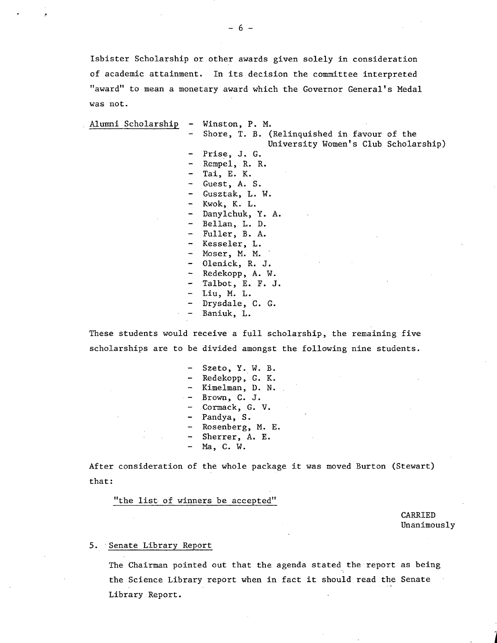Isbister Scholarship or other awards given solely in consideration of academic attainment. In its decision the committee interpreted "award" to mean a monetary award which the Governor General's Medal was not.

Alumni Scholarship - Winston, P. N. Shore, T. B. (Relinquished in favour of the University Women's Club Scholarship) Prise, J. G. Rempel, R. R. Tai, E. K. Guest, A. S. - Gusztak, L. W. - Kwok, K. L. Danylchuk, Y. A. - Bellan, L. D. Fuller, B. A. Kesseler, L. Moser, M. M. Olenick, R. J. Redekopp, A. W. - Talbot, E. F. J. Liu, M. L. Drysdale, C. G. - Baniuk, L.

These students would receive a full scholarship, the remaining five scholarships are to be divided amongst the following nine students.

> Szeto, Y. W. B. - Redekopp, C. K. - Kimelman, D. N. Brown, C. J. Cormack, G. V. Pandya, S. Rosenberg, M. E. Sherrer, A. E. - Na, C. W.

After consideration of the whole package it was moved Burton (Stewart) that:

"the list of winners be accepted"

CARRIED Unanimously

### 5. Senate Library Report

The Chairman pointed out that the agenda stated the report as being the Science Library report when in fact it should read the Senate Library Report.

-6-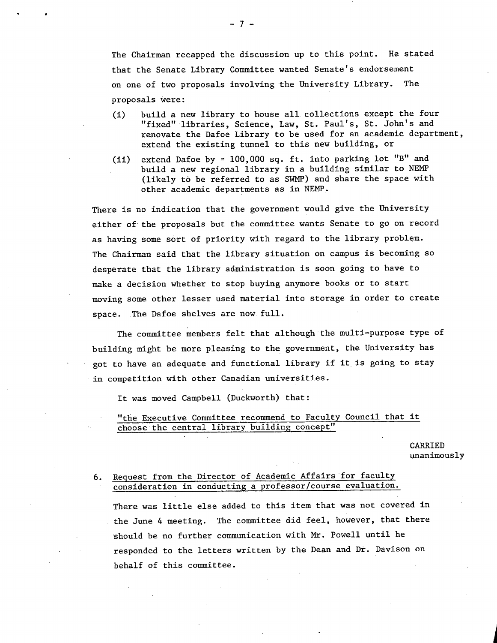The Chairman recapped the discussion up to this point. He stated that the Senate Library Committee wanted Senate's endorsement on one of two proposals involving the University Library. The proposals were:

- (1) build a new library to house all. collections except the four "fixed" libraries, Science, Law, St. Paul's, St. John's and renovate the Dafoe Library to be used for an academic department, extend the existing tunnel to this new building, or
- (ii) extend Dafoe by  $\simeq$  100,000 sq. ft. into parking lot "B" and build a new regional library in a building similar to NEMP (likely to be referred to as SWMP) and share the space with other academic departments as in NEMP.

There is no indication that the government would give the University either of the proposals but the committee wants Senate to go on record as having some sort of priority with regard to the library problem. The Chairman said that the library situation on campus is becoming so desperate that the library administration is soon going to have to make a decision whether to stop buying anymore books or to start moving some other lesser used material into storage in order to create space. The Dafoe shelves are now full.

The committee members felt that although the multi-purpose type of building might be more pleasing to the government, the University has got to have an adequate and functional library if it is going to stay in competition with other Canadian universities.

It was moved Campbell (Duckworth) that:

# "the Executive Committee recommend to Faculty Council that it choose the central library building concept"

CARRIED unanimously

# 6. Request from the Director of Academic Affairs for faculty consideration in conducting a professor/course evaluation.

There was little else added to this item that was not covered in the June 4 meeting. The committee did feel, however, that there should be no further communication with Mr. Powell until he responded to the letters written by the Dean and Dr. Davison on behalf of this committee.

 $-7-$